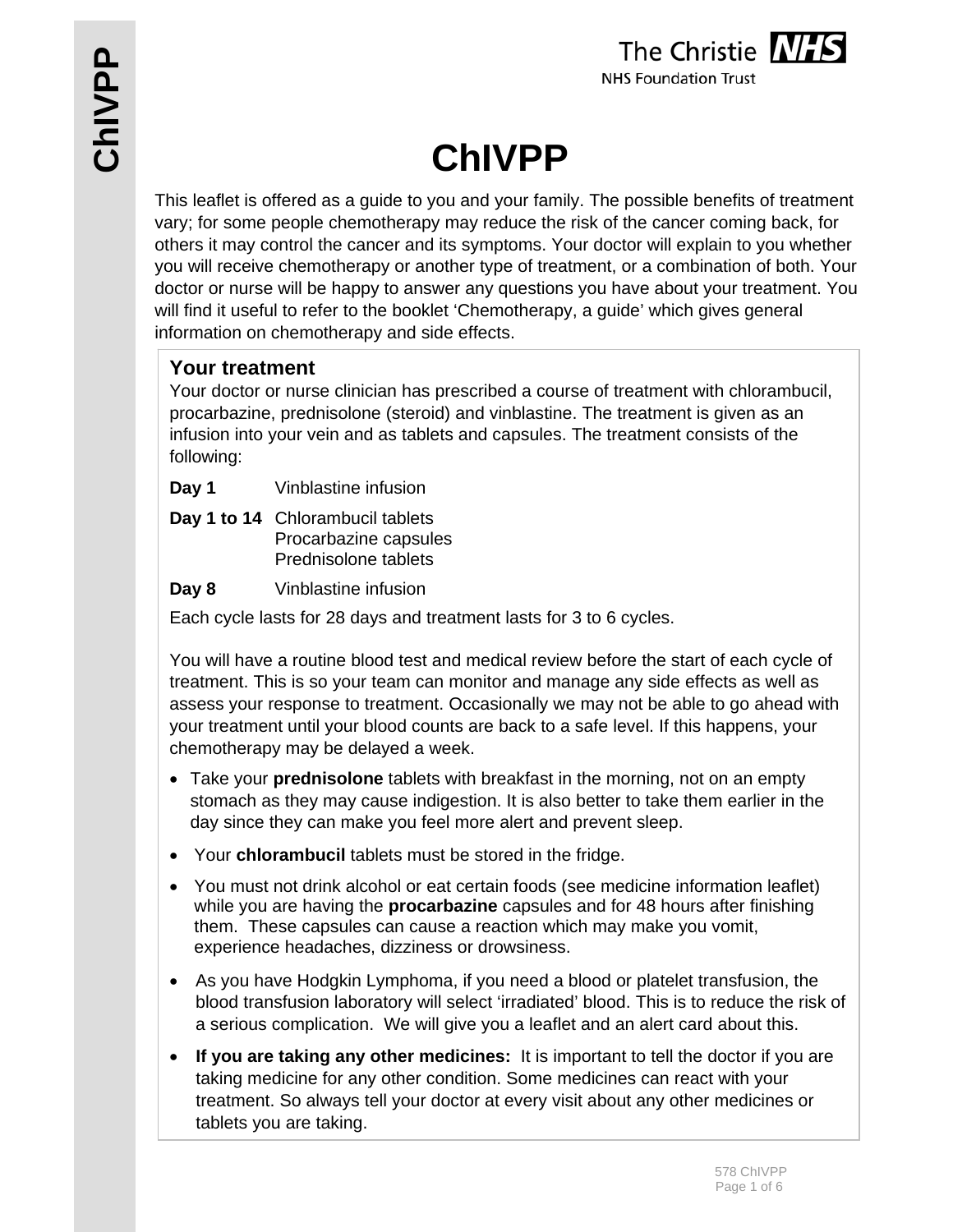

# **ChIVPP**

This leaflet is offered as a guide to you and your family. The possible benefits of treatment vary; for some people chemotherapy may reduce the risk of the cancer coming back, for others it may control the cancer and its symptoms. Your doctor will explain to you whether you will receive chemotherapy or another type of treatment, or a combination of both. Your doctor or nurse will be happy to answer any questions you have about your treatment. You will find it useful to refer to the booklet 'Chemotherapy, a guide' which gives general information on chemotherapy and side effects.

# **Your treatment**

Your doctor or nurse clinician has prescribed a course of treatment with chlorambucil, procarbazine, prednisolone (steroid) and vinblastine. The treatment is given as an infusion into your vein and as tablets and capsules. The treatment consists of the following:

**Day 1** Vinblastine infusion

- **Day 1 to 14** Chlorambucil tablets Procarbazine capsules Prednisolone tablets
- **Day 8** Vinblastine infusion

Each cycle lasts for 28 days and treatment lasts for 3 to 6 cycles.

You will have a routine blood test and medical review before the start of each cycle of treatment. This is so your team can monitor and manage any side effects as well as assess your response to treatment. Occasionally we may not be able to go ahead with your treatment until your blood counts are back to a safe level. If this happens, your chemotherapy may be delayed a week.

- Take your **prednisolone** tablets with breakfast in the morning, not on an empty stomach as they may cause indigestion. It is also better to take them earlier in the day since they can make you feel more alert and prevent sleep.
- Your **chlorambucil** tablets must be stored in the fridge.
- You must not drink alcohol or eat certain foods (see medicine information leaflet) while you are having the **procarbazine** capsules and for 48 hours after finishing them. These capsules can cause a reaction which may make you vomit, experience headaches, dizziness or drowsiness.
- As you have Hodgkin Lymphoma, if you need a blood or platelet transfusion, the blood transfusion laboratory will select 'irradiated' blood. This is to reduce the risk of a serious complication. We will give you a leaflet and an alert card about this.
- **If you are taking any other medicines:** It is important to tell the doctor if you are taking medicine for any other condition. Some medicines can react with your treatment. So always tell your doctor at every visit about any other medicines or tablets you are taking.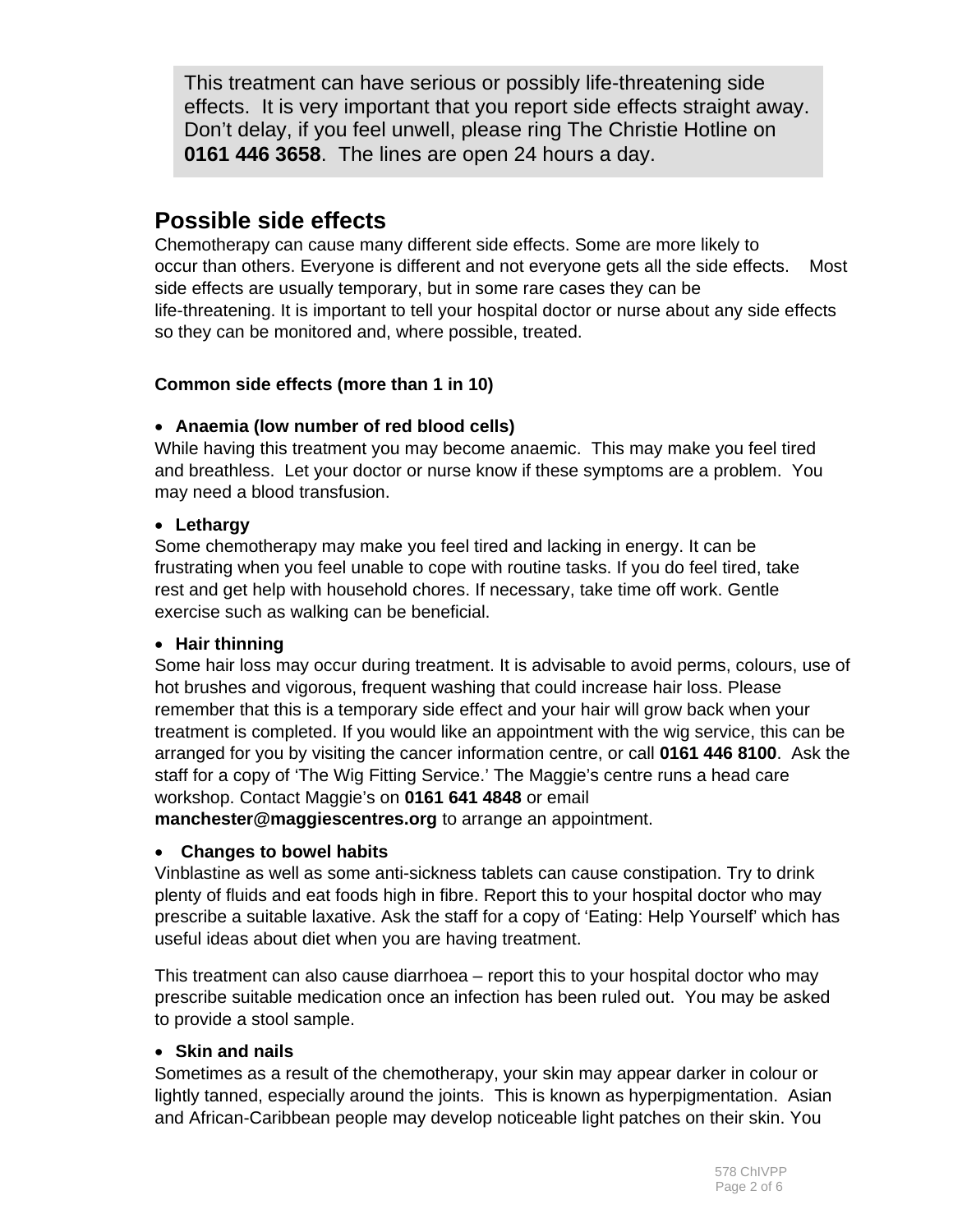This treatment can have serious or possibly life-threatening side effects. It is very important that you report side effects straight away. Don't delay, if you feel unwell, please ring The Christie Hotline on **0161 446 3658**. The lines are open 24 hours a day.

# **Possible side effects**

Chemotherapy can cause many different side effects. Some are more likely to occur than others. Everyone is different and not everyone gets all the side effects. Most side effects are usually temporary, but in some rare cases they can be life-threatening. It is important to tell your hospital doctor or nurse about any side effects so they can be monitored and, where possible, treated.

## **Common side effects (more than 1 in 10)**

#### **Anaemia (low number of red blood cells)**

While having this treatment you may become anaemic. This may make you feel tired and breathless. Let your doctor or nurse know if these symptoms are a problem. You may need a blood transfusion.

#### **Lethargy**

Some chemotherapy may make you feel tired and lacking in energy. It can be frustrating when you feel unable to cope with routine tasks. If you do feel tired, take rest and get help with household chores. If necessary, take time off work. Gentle exercise such as walking can be beneficial.

#### **Hair thinning**

Some hair loss may occur during treatment. It is advisable to avoid perms, colours, use of hot brushes and vigorous, frequent washing that could increase hair loss. Please remember that this is a temporary side effect and your hair will grow back when your treatment is completed. If you would like an appointment with the wig service, this can be arranged for you by visiting the cancer information centre, or call **0161 446 8100**. Ask the staff for a copy of 'The Wig Fitting Service.' The Maggie's centre runs a head care workshop. Contact Maggie's on **0161 641 4848** or email

**manchester@maggiescentres.org** to arrange an appointment.

## **Changes to bowel habits**

Vinblastine as well as some anti-sickness tablets can cause constipation. Try to drink plenty of fluids and eat foods high in fibre. Report this to your hospital doctor who may prescribe a suitable laxative. Ask the staff for a copy of 'Eating: Help Yourself' which has useful ideas about diet when you are having treatment.

This treatment can also cause diarrhoea – report this to your hospital doctor who may prescribe suitable medication once an infection has been ruled out. You may be asked to provide a stool sample.

## **Skin and nails**

Sometimes as a result of the chemotherapy, your skin may appear darker in colour or lightly tanned, especially around the joints. This is known as hyperpigmentation. Asian and African-Caribbean people may develop noticeable light patches on their skin. You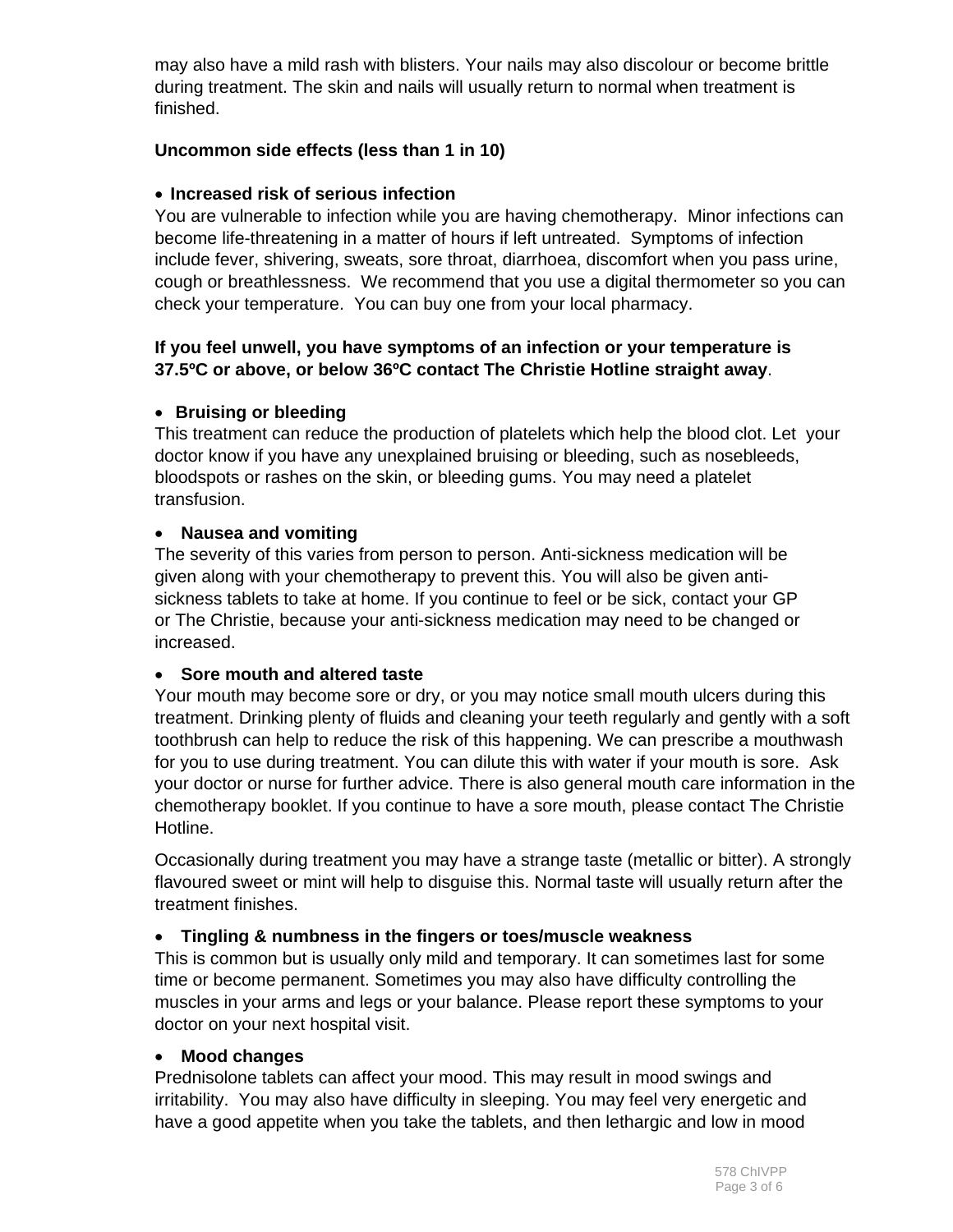may also have a mild rash with blisters. Your nails may also discolour or become brittle during treatment. The skin and nails will usually return to normal when treatment is finished.

#### **Uncommon side effects (less than 1 in 10)**

#### **Increased risk of serious infection**

You are vulnerable to infection while you are having chemotherapy. Minor infections can become life-threatening in a matter of hours if left untreated. Symptoms of infection include fever, shivering, sweats, sore throat, diarrhoea, discomfort when you pass urine, cough or breathlessness. We recommend that you use a digital thermometer so you can check your temperature. You can buy one from your local pharmacy.

#### **If you feel unwell, you have symptoms of an infection or your temperature is 37.5ºC or above, or below 36ºC contact The Christie Hotline straight away**.

#### **Bruising or bleeding**

This treatment can reduce the production of platelets which help the blood clot. Let your doctor know if you have any unexplained bruising or bleeding, such as nosebleeds, bloodspots or rashes on the skin, or bleeding gums. You may need a platelet transfusion.

#### **Nausea and vomiting**

The severity of this varies from person to person. Anti-sickness medication will be given along with your chemotherapy to prevent this. You will also be given antisickness tablets to take at home. If you continue to feel or be sick, contact your GP or The Christie, because your anti-sickness medication may need to be changed or increased.

#### **Sore mouth and altered taste**

Your mouth may become sore or dry, or you may notice small mouth ulcers during this treatment. Drinking plenty of fluids and cleaning your teeth regularly and gently with a soft toothbrush can help to reduce the risk of this happening. We can prescribe a mouthwash for you to use during treatment. You can dilute this with water if your mouth is sore. Ask your doctor or nurse for further advice. There is also general mouth care information in the chemotherapy booklet. If you continue to have a sore mouth, please contact The Christie Hotline.

Occasionally during treatment you may have a strange taste (metallic or bitter). A strongly flavoured sweet or mint will help to disguise this. Normal taste will usually return after the treatment finishes.

## **Tingling & numbness in the fingers or toes/muscle weakness**

This is common but is usually only mild and temporary. It can sometimes last for some time or become permanent. Sometimes you may also have difficulty controlling the muscles in your arms and legs or your balance. Please report these symptoms to your doctor on your next hospital visit.

#### **Mood changes**

Prednisolone tablets can affect your mood. This may result in mood swings and irritability. You may also have difficulty in sleeping. You may feel very energetic and have a good appetite when you take the tablets, and then lethargic and low in mood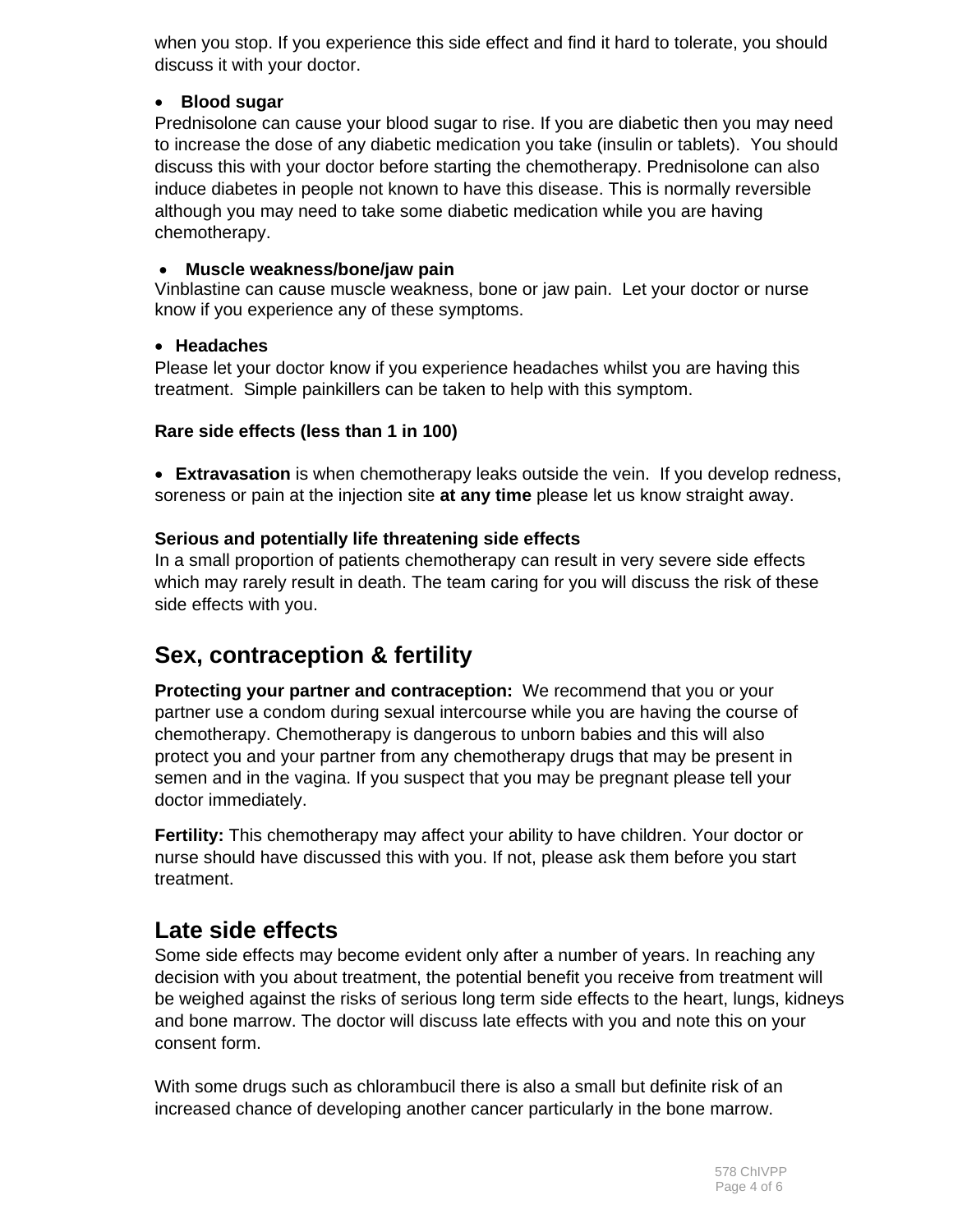when you stop. If you experience this side effect and find it hard to tolerate, you should discuss it with your doctor.

## **Blood sugar**

Prednisolone can cause your blood sugar to rise. If you are diabetic then you may need to increase the dose of any diabetic medication you take (insulin or tablets). You should discuss this with your doctor before starting the chemotherapy. Prednisolone can also induce diabetes in people not known to have this disease. This is normally reversible although you may need to take some diabetic medication while you are having chemotherapy.

#### **Muscle weakness/bone/jaw pain**

Vinblastine can cause muscle weakness, bone or jaw pain. Let your doctor or nurse know if you experience any of these symptoms.

#### **Headaches**

Please let your doctor know if you experience headaches whilst you are having this treatment. Simple painkillers can be taken to help with this symptom.

#### **Rare side effects (less than 1 in 100)**

 **Extravasation** is when chemotherapy leaks outside the vein. If you develop redness, soreness or pain at the injection site **at any time** please let us know straight away.

#### **Serious and potentially life threatening side effects**

In a small proportion of patients chemotherapy can result in very severe side effects which may rarely result in death. The team caring for you will discuss the risk of these side effects with you.

# **Sex, contraception & fertility**

**Protecting your partner and contraception:** We recommend that you or your partner use a condom during sexual intercourse while you are having the course of chemotherapy. Chemotherapy is dangerous to unborn babies and this will also protect you and your partner from any chemotherapy drugs that may be present in semen and in the vagina. If you suspect that you may be pregnant please tell your doctor immediately.

**Fertility:** This chemotherapy may affect your ability to have children. Your doctor or nurse should have discussed this with you. If not, please ask them before you start treatment.

# **Late side effects**

Some side effects may become evident only after a number of years. In reaching any decision with you about treatment, the potential benefit you receive from treatment will be weighed against the risks of serious long term side effects to the heart, lungs, kidneys and bone marrow. The doctor will discuss late effects with you and note this on your consent form.

With some drugs such as chlorambucil there is also a small but definite risk of an increased chance of developing another cancer particularly in the bone marrow.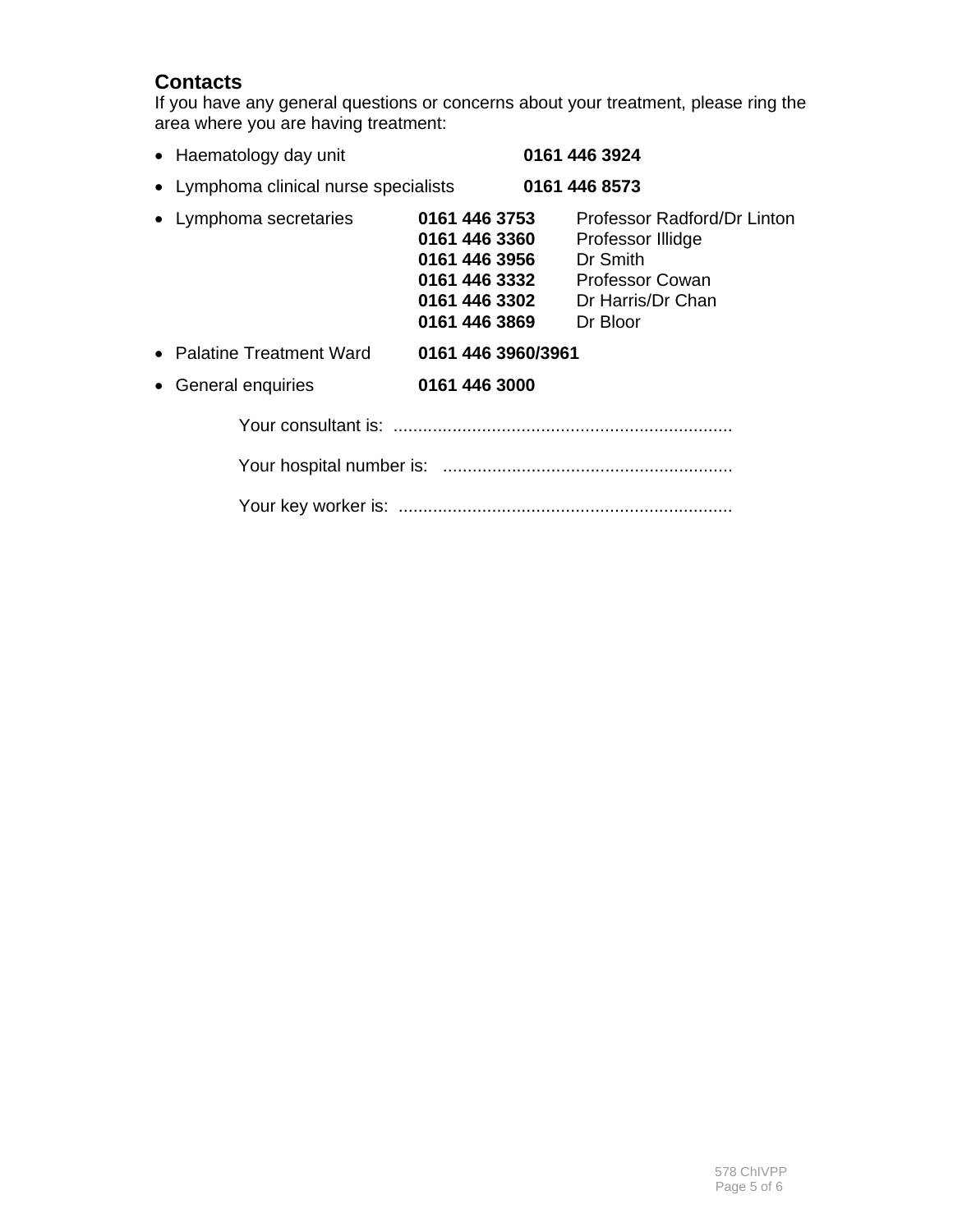# **Contacts**

If you have any general questions or concerns about your treatment, please ring the area where you are having treatment:

| • Haematology day unit                |                                                                                                    | 0161 446 3924                                                                                                           |
|---------------------------------------|----------------------------------------------------------------------------------------------------|-------------------------------------------------------------------------------------------------------------------------|
| • Lymphoma clinical nurse specialists |                                                                                                    | 0161 446 8573                                                                                                           |
| • Lymphoma secretaries                | 0161 446 3753<br>0161 446 3360<br>0161 446 3956<br>0161 446 3332<br>0161 446 3302<br>0161 446 3869 | Professor Radford/Dr Linton<br>Professor Illidge<br>Dr Smith<br><b>Professor Cowan</b><br>Dr Harris/Dr Chan<br>Dr Bloor |
| • Palatine Treatment Ward             | 0161 446 3960/3961                                                                                 |                                                                                                                         |
| General enquiries<br>$\bullet$        | 0161 446 3000                                                                                      |                                                                                                                         |
|                                       |                                                                                                    |                                                                                                                         |
|                                       |                                                                                                    |                                                                                                                         |